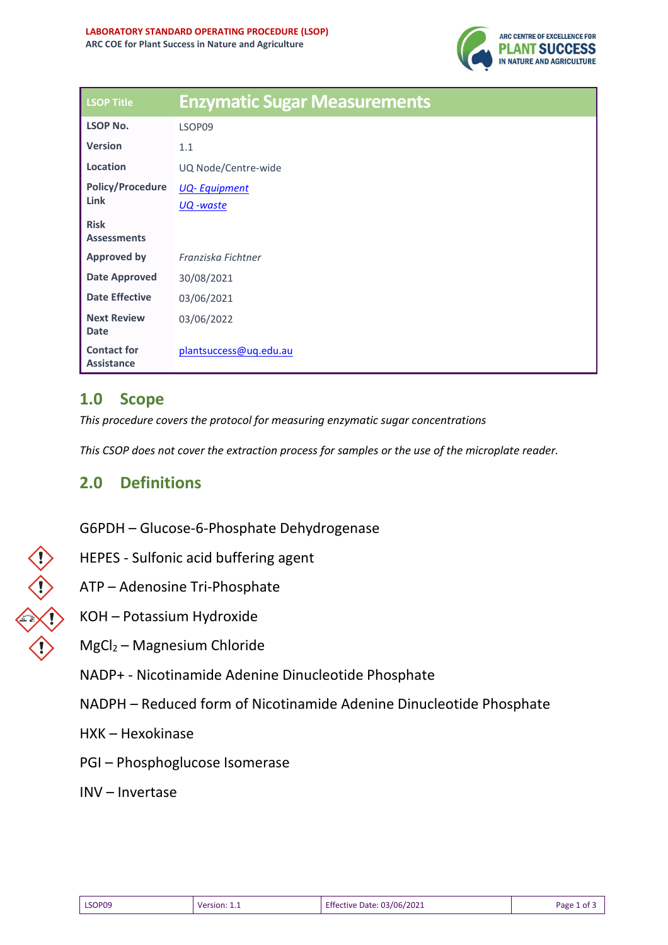

| <b>LSOP Title</b>                       | <b>Enzymatic Sugar Measurements</b> |  |  |
|-----------------------------------------|-------------------------------------|--|--|
| <b>LSOP No.</b>                         | LSOP09                              |  |  |
| <b>Version</b>                          | 1.1                                 |  |  |
| Location                                | UQ Node/Centre-wide                 |  |  |
| <b>Policy/Procedure</b><br>Link         | <b>UQ-Equipment</b>                 |  |  |
|                                         | UQ -waste                           |  |  |
| <b>Risk</b>                             |                                     |  |  |
| <b>Assessments</b>                      |                                     |  |  |
| <b>Approved by</b>                      | Franziska Fichtner                  |  |  |
| <b>Date Approved</b>                    | 30/08/2021                          |  |  |
| <b>Date Effective</b>                   | 03/06/2021                          |  |  |
| <b>Next Review</b>                      | 03/06/2022                          |  |  |
| <b>Date</b>                             |                                     |  |  |
| <b>Contact for</b><br><b>Assistance</b> | plantsuccess@uq.edu.au              |  |  |

# **1.0 Scope**

*This procedure covers the protocol for measuring enzymatic sugar concentrations* 

*This CSOP does not cover the extraction process for samples or the use of the microplate reader.*

### **2.0 Definitions**

G6PDH – Glucose-6-Phosphate Dehydrogenase

- HEPES Sulfonic acid buffering agent
- ATP Adenosine Tri-Phosphate
- KOH Potassium Hydroxide
- MgCl<sup>2</sup> Magnesium Chloride
- NADP+ Nicotinamide Adenine Dinucleotide Phosphate
- NADPH Reduced form of Nicotinamide Adenine Dinucleotide Phosphate
- HXK Hexokinase
- PGI Phosphoglucose Isomerase
- INV Invertase

| ſ                                                                                                                   |
|---------------------------------------------------------------------------------------------------------------------|
| and the state of the state of the state of the state of the state of the state of the state of the state of th<br>v |
| l<br>$\overline{\mathbf{r}}$<br>Ϋ́                                                                                  |
|                                                                                                                     |

| LSOP09 | Version: 1.1 | Effective Date: 03/06/2021 | Page 1 of 3 |
|--------|--------------|----------------------------|-------------|
|--------|--------------|----------------------------|-------------|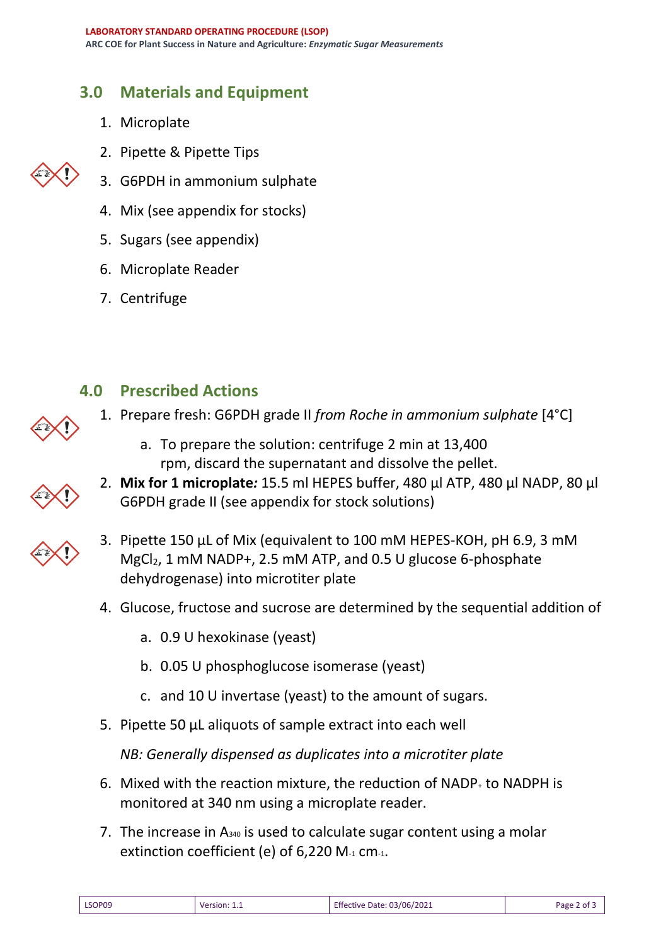# **3.0 Materials and Equipment**

- 1. Microplate
- 2. Pipette & Pipette Tips
- 3. G6PDH in ammonium sulphate
- 4. Mix (see appendix for stocks)
- 5. Sugars (see appendix)
- 6. Microplate Reader
- 7. Centrifuge

### **4.0 Prescribed Actions**

- 1. Prepare fresh: G6PDH grade II *from Roche in ammonium sulphate* [4°C]
	- a. To prepare the solution: centrifuge 2 min at 13,400 rpm, discard the supernatant and dissolve the pellet.
- 2. **Mix for 1 microplate***:* 15.5 ml HEPES buffer, 480 µl ATP, 480 µl NADP, 80 µl G6PDH grade II (see appendix for stock solutions)
- 3. Pipette 150 µL of Mix (equivalent to 100 mM HEPES-KOH, pH 6.9, 3 mM MgCl<sub>2</sub>, 1 mM NADP+, 2.5 mM ATP, and 0.5 U glucose 6-phosphate dehydrogenase) into microtiter plate
	- 4. Glucose, fructose and sucrose are determined by the sequential addition of
		- a. 0.9 U hexokinase (yeast)
		- b. 0.05 U phosphoglucose isomerase (yeast)
		- c. and 10 U invertase (yeast) to the amount of sugars.
	- 5. Pipette 50 μL aliquots of sample extract into each well

*NB: Generally dispensed as duplicates into a microtiter plate*

- 6. Mixed with the reaction mixture, the reduction of NADP<sup>+</sup> to NADPH is monitored at 340 nm using a microplate reader.
- 7. The increase in  $A_{340}$  is used to calculate sugar content using a molar extinction coefficient (e) of  $6,220$  M $<sub>1</sub>$  cm $<sub>1</sub>$ .</sub></sub>

| LSOP09 | Version: 1.1<br>______ | <b>Effective Date: 03/06/2021</b> | Page 2 of |
|--------|------------------------|-----------------------------------|-----------|
|--------|------------------------|-----------------------------------|-----------|